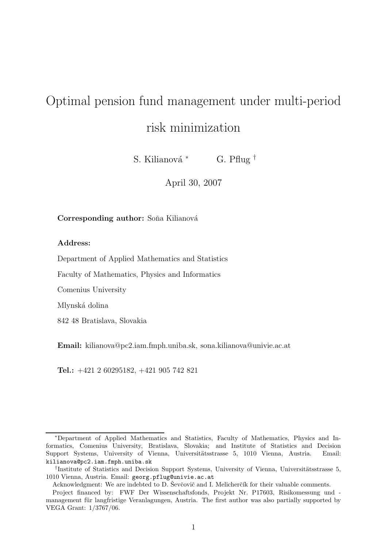# Optimal pension fund management under multi-period risk minimization

S. Kilianová <sup>∗</sup> G. Pflug <sup>†</sup>

April 30, 2007

### Corresponding author: Soña Kilianová

#### Address:

Department of Applied Mathematics and Statistics

Faculty of Mathematics, Physics and Informatics

Comenius University

Mlynská dolina

842 48 Bratislava, Slovakia

Email: kilianova@pc2.iam.fmph.uniba.sk, sona.kilianova@univie.ac.at

Tel.: +421 2 60295182, +421 905 742 821

<sup>∗</sup>Department of Applied Mathematics and Statistics, Faculty of Mathematics, Physics and Informatics, Comenius University, Bratislava, Slovakia; and Institute of Statistics and Decision Support Systems, University of Vienna, Universitätsstrasse 5, 1010 Vienna, Austria. Email: kilianova@pc2.iam.fmph.uniba.sk

<sup>&</sup>lt;sup>†</sup>Institute of Statistics and Decision Support Systems, University of Vienna, Universitätsstrasse 5, 1010 Vienna, Austria. Email: georg.pflug@univie.ac.at

Acknowledgment: We are indebted to D. Sevčovič and I. Melicherčík for their valuable comments.

Project financed by: FWF Der Wissenschaftsfonds, Projekt Nr. P17603, Risikomessung und management für langfristige Veranlagungen, Austria. The first author was also partially supported by VEGA Grant: 1/3767/06.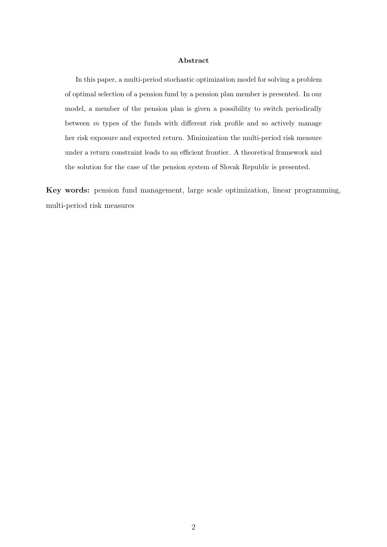#### Abstract

In this paper, a multi-period stochastic optimization model for solving a problem of optimal selection of a pension fund by a pension plan member is presented. In our model, a member of the pension plan is given a possibility to switch periodically between m types of the funds with different risk profile and so actively manage her risk exposure and expected return. Minimization the multi-period risk measure under a return constraint leads to an efficient frontier. A theoretical framework and the solution for the case of the pension system of Slovak Republic is presented.

Key words: pension fund management, large scale optimization, linear programming, multi-period risk measures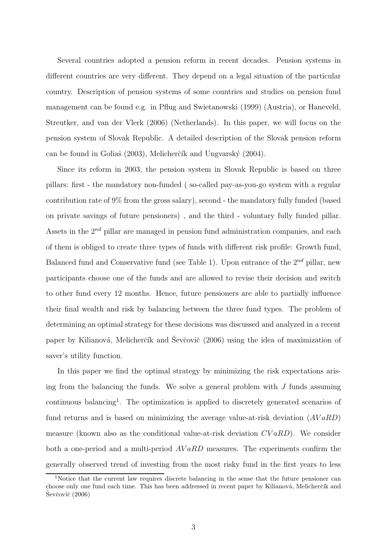Several countries adopted a pension reform in recent decades. Pension systems in different countries are very different. They depend on a legal situation of the particular country. Description of pension systems of some countries and studies on pension fund management can be found e.g. in Pflug and Swietanowski (1999) (Austria), or Haneveld, Streutker, and van der Vlerk (2006) (Netherlands). In this paper, we will focus on the pension system of Slovak Republic. A detailed description of the Slovak pension reform can be found in Goliaš (2003), Melicherčík and Ungvarský (2004).

Since its reform in 2003, the pension system in Slovak Republic is based on three pillars: first - the mandatory non-funded ( so-called pay-as-you-go system with a regular contribution rate of 9% from the gross salary), second - the mandatory fully funded (based on private savings of future pensioners) , and the third - voluntary fully funded pillar. Assets in the  $2^{nd}$  pillar are managed in pension fund administration companies, and each of them is obliged to create three types of funds with different risk profile: Growth fund, Balanced fund and Conservative fund (see Table 1). Upon entrance of the  $2^{nd}$  pillar, new participants choose one of the funds and are allowed to revise their decision and switch to other fund every 12 months. Hence, future pensioners are able to partially influence their final wealth and risk by balancing between the three fund types. The problem of determining an optimal strategy for these decisions was discussed and analyzed in a recent paper by Kilianová, Melicherčík and Ševčovič  $(2006)$  using the idea of maximization of saver's utility function.

In this paper we find the optimal strategy by minimizing the risk expectations arising from the balancing the funds. We solve a general problem with  $J$  funds assuming continuous balancing<sup>1</sup>. The optimization is applied to discretely generated scenarios of fund returns and is based on minimizing the average value-at-risk deviation  $(AVaRD)$ measure (known also as the conditional value-at-risk deviation  $CVaRD$ ). We consider both a one-period and a multi-period  $AVaRD$  measures. The experiments confirm the generally observed trend of investing from the most risky fund in the first years to less

<sup>&</sup>lt;sup>1</sup>Notice that the current law requires discrete balancing in the sense that the future pensioner can choose only one fund each time. This has been addressed in recent paper by Kilianová, Melicherčík and  $\text{Ševčovič}$  (2006)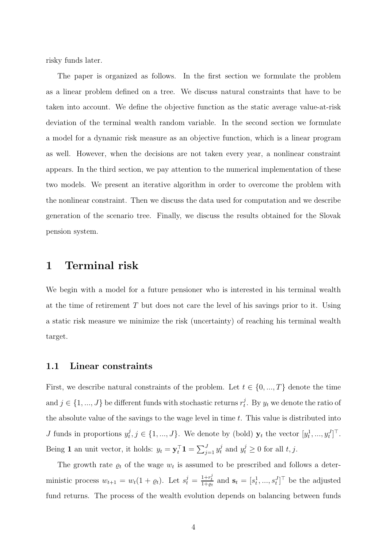risky funds later.

The paper is organized as follows. In the first section we formulate the problem as a linear problem defined on a tree. We discuss natural constraints that have to be taken into account. We define the objective function as the static average value-at-risk deviation of the terminal wealth random variable. In the second section we formulate a model for a dynamic risk measure as an objective function, which is a linear program as well. However, when the decisions are not taken every year, a nonlinear constraint appears. In the third section, we pay attention to the numerical implementation of these two models. We present an iterative algorithm in order to overcome the problem with the nonlinear constraint. Then we discuss the data used for computation and we describe generation of the scenario tree. Finally, we discuss the results obtained for the Slovak pension system.

## 1 Terminal risk

We begin with a model for a future pensioner who is interested in his terminal wealth at the time of retirement T but does not care the level of his savings prior to it. Using a static risk measure we minimize the risk (uncertainty) of reaching his terminal wealth target.

### 1.1 Linear constraints

First, we describe natural constraints of the problem. Let  $t \in \{0, ..., T\}$  denote the time and  $j \in \{1, ..., J\}$  be different funds with stochastic returns  $r_t^j$ <sup>*f*</sup>. By  $y_t$  we denote the ratio of the absolute value of the savings to the wage level in time  $t$ . This value is distributed into J funds in proportions  $y_t^j$  $t^j, j \in \{1, ..., J\}$ . We denote by (bold)  $\mathbf{y}_t$  the vector  $[y_t^1, ..., y_t^J]^\top$ . Being 1 an unit vector, it holds:  $y_t = \mathbf{y}_t^{\top} \mathbf{1} = \sum_{j=1}^J y_t^j$  and  $y_t^j \ge 0$  for all  $t, j$ .

The growth rate  $\rho_t$  of the wage  $w_t$  is assumed to be prescribed and follows a deterministic process  $w_{t+1} = w_t(1 + \varrho_t)$ . Let  $s_t^j = \frac{1 + r_t^j}{1 + \varrho_t}$  and  $\mathbf{s}_t = [s_t^1, ..., s_t^J]^\top$  be the adjusted fund returns. The process of the wealth evolution depends on balancing between funds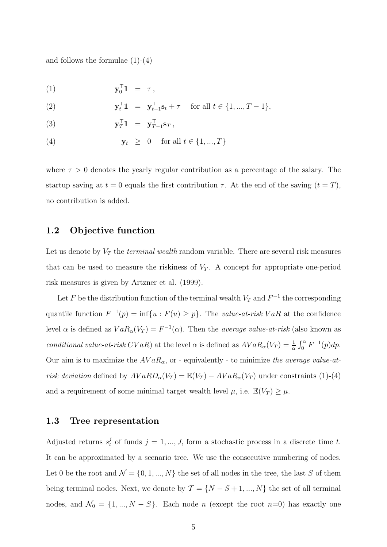and follows the formulae  $(1)-(4)$ 

$$
\mathbf{y}_0^\top \mathbf{1} = \tau,
$$

(2) 
$$
\mathbf{y}_t^{\top} \mathbf{1} = \mathbf{y}_{t-1}^{\top} \mathbf{s}_t + \tau \quad \text{for all } t \in \{1, ..., T-1\},
$$

(3) 
$$
\mathbf{y}_T^\top \mathbf{1} = \mathbf{y}_{T-1}^\top \mathbf{s}_T,
$$

$$
\mathbf{y}_t \geq 0 \quad \text{for all } t \in \{1, ..., T\}
$$

where  $\tau > 0$  denotes the yearly regular contribution as a percentage of the salary. The startup saving at  $t = 0$  equals the first contribution  $\tau$ . At the end of the saving  $(t = T)$ , no contribution is added.

## 1.2 Objective function

Let us denote by  $V_T$  the *terminal wealth* random variable. There are several risk measures that can be used to measure the riskiness of  $V_T$ . A concept for appropriate one-period risk measures is given by Artzner et al. (1999).

Let F be the distribution function of the terminal wealth  $V_T$  and  $F^{-1}$  the corresponding quantile function  $F^{-1}(p) = \inf\{u : F(u) \geq p\}$ . The *value-at-risk VaR* at the confidence level  $\alpha$  is defined as  $VaR_{\alpha}(V_T) = F^{-1}(\alpha)$ . Then the *average value-at-risk* (also known as conditional value-at-risk CVaR) at the level  $\alpha$  is defined as  $AVaR_{\alpha}(V_T) = \frac{1}{\alpha} \int_0^{\alpha} F^{-1}(p) dp$ . Our aim is to maximize the  $AVaR_{\alpha}$ , or - equivalently - to minimize the average value-atrisk deviation defined by  $AVaRD_{\alpha}(V_T) = \mathbb{E}(V_T) - AVaR_{\alpha}(V_T)$  under constraints (1)-(4) and a requirement of some minimal target wealth level  $\mu$ , i.e.  $\mathbb{E}(V_T) \geq \mu$ .

## 1.3 Tree representation

Adjusted returns  $s_t^j$  of funds  $j = 1, ..., J$ , form a stochastic process in a discrete time t. It can be approximated by a scenario tree. We use the consecutive numbering of nodes. Let 0 be the root and  $\mathcal{N} = \{0, 1, ..., N\}$  the set of all nodes in the tree, the last S of them being terminal nodes. Next, we denote by  $\mathcal{T} = \{N - S + 1, ..., N\}$  the set of all terminal nodes, and  $\mathcal{N}_0 = \{1, ..., N - S\}$ . Each node n (except the root n=0) has exactly one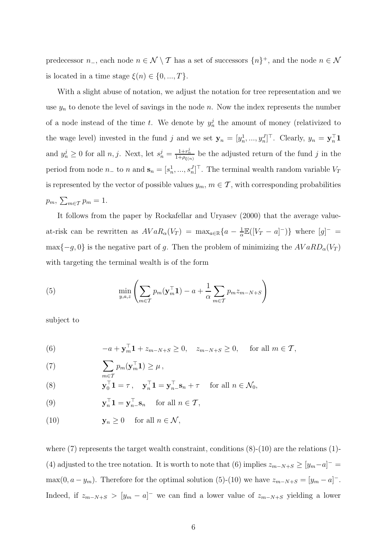predecessor  $n_-,$  each node  $n \in \mathcal{N} \setminus \mathcal{T}$  has a set of successors  $\{n\}^+$ , and the node  $n \in \mathcal{N}$ is located in a time stage  $\xi(n) \in \{0, ..., T\}.$ 

With a slight abuse of notation, we adjust the notation for tree representation and we use  $y_n$  to denote the level of savings in the node n. Now the index represents the number of a node instead of the time t. We denote by  $y_n^j$  the amount of money (relativized to the wage level) invested in the fund j and we set  $\mathbf{y}_n = [y_n^1, ..., y_n^J]^\top$ . Clearly,  $y_n = \mathbf{y}_n^\top \mathbf{1}$ and  $y_n^j \geq 0$  for all  $n, j$ . Next, let  $s_n^j = \frac{1+r_n^j}{1+\rho_{\xi(n)}}$  be the adjusted return of the fund j in the period from node  $n_-$  to n and  $\mathbf{s}_n = [s_n^1, ..., s_n^J]^\top$ . The terminal wealth random variable  $V_T$ is represented by the vector of possible values  $y_m$ ,  $m \in \mathcal{T}$ , with corresponding probabilities  $p_m$ ,  $\sum_{m \in \mathcal{T}} p_m = 1$ .

It follows from the paper by Rockafellar and Uryasev (2000) that the average valueat-risk can be rewritten as  $AVaR_{\alpha}(V_T) = \max_{a \in \mathbb{R}} \{a - \frac{1}{\alpha}\}$  $\frac{1}{\alpha}\mathbb{E}([V_T - a]^{-})\}$  where  $[g]^{-} =$ max $\{-g, 0\}$  is the negative part of g. Then the problem of minimizing the  $AVaRD_{\alpha}(V_T)$ with targeting the terminal wealth is of the form

(5) 
$$
\min_{y,a,z} \left( \sum_{m \in \mathcal{T}} p_m(\mathbf{y}_m^{\top} \mathbf{1}) - a + \frac{1}{\alpha} \sum_{m \in \mathcal{T}} p_m z_{m-N+S} \right)
$$

subject to

(6) 
$$
-a + \mathbf{y}_m^{\top} \mathbf{1} + z_{m-N+S} \ge 0, \quad z_{m-N+S} \ge 0, \quad \text{for all } m \in \mathcal{T},
$$

(7) 
$$
\sum_{m \in \mathcal{T}} p_m(\mathbf{y}_m^{\top} \mathbf{1}) \geq \mu,
$$

(8) 
$$
\mathbf{y}_0^\top \mathbf{1} = \tau \,, \quad \mathbf{y}_n^\top \mathbf{1} = \mathbf{y}_{n-}^\top \mathbf{s}_n + \tau \quad \text{ for all } n \in \mathcal{N}_0,
$$

(9) 
$$
\mathbf{y}_n^{\top} \mathbf{1} = \mathbf{y}_{n}^{\top} \mathbf{s}_n \quad \text{ for all } n \in \mathcal{T},
$$

(10) 
$$
\mathbf{y}_n \ge 0 \quad \text{ for all } n \in \mathcal{N},
$$

where  $(7)$  represents the target wealth constraint, conditions  $(8)-(10)$  are the relations  $(1)$ -(4) adjusted to the tree notation. It is worth to note that (6) implies  $z_{m-N+S} \geq [y_m-a]$ <sup>-</sup> = max(0,  $a - y_m$ ). Therefore for the optimal solution (5)-(10) we have  $z_{m-N+S} = [y_m - a]$ <sup>-</sup>. Indeed, if  $z_{m-N+S} > [y_m - a]$  we can find a lower value of  $z_{m-N+S}$  yielding a lower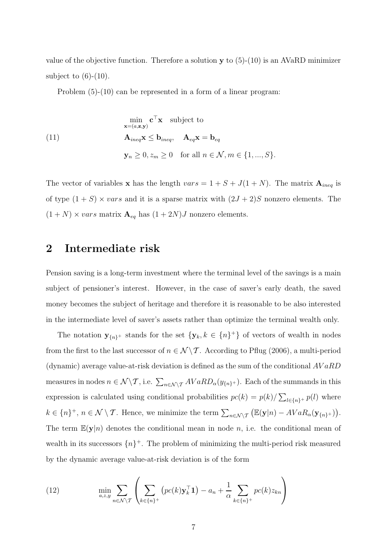value of the objective function. Therefore a solution  $y$  to  $(5)-(10)$  is an AVaRD minimizer subject to  $(6)-(10)$ .

Problem (5)-(10) can be represented in a form of a linear program:

$$
\min_{\mathbf{x}=(a,\mathbf{z},\mathbf{y})} \mathbf{c}^{\top} \mathbf{x} \quad \text{subject to}
$$
\n
$$
\mathbf{A}_{ineq} \mathbf{x} \leq \mathbf{b}_{ineq}, \quad \mathbf{A}_{eq} \mathbf{x} = \mathbf{b}_{eq}
$$
\n
$$
\mathbf{y}_n \geq 0, z_m \geq 0 \quad \text{for all } n \in \mathcal{N}, m \in \{1, ..., S\}.
$$

The vector of variables **x** has the length  $vars = 1 + S + J(1 + N)$ . The matrix  $\mathbf{A}_{ineq}$  is of type  $(1 + S) \times vars$  and it is a sparse matrix with  $(2J + 2)S$  nonzero elements. The  $(1+N) \times vars$  matrix  $\mathbf{A}_{eq}$  has  $(1+2N)J$  nonzero elements.

## 2 Intermediate risk

Pension saving is a long-term investment where the terminal level of the savings is a main subject of pensioner's interest. However, in the case of saver's early death, the saved money becomes the subject of heritage and therefore it is reasonable to be also interested in the intermediate level of saver's assets rather than optimize the terminal wealth only.

The notation  $y_{\{n\}^+}$  stands for the set  $\{y_k, k \in \{n\}^+\}$  of vectors of wealth in nodes from the first to the last successor of  $n \in \mathcal{N} \setminus \mathcal{T}$ . According to Pflug (2006), a multi-period (dynamic) average value-at-risk deviation is defined as the sum of the conditional  $AVaRD$ measures in nodes  $n \in \mathcal{N} \setminus \mathcal{T}$ , i.e.  $\sum_{n \in \mathcal{N} \setminus \mathcal{T}} AVaRD_{\alpha}(y_{\{n\}+})$ . Each of the summands in this expression is calculated using conditional probabilities  $pc(k) = p(k)/\sum_{l \in \{n\}^+} p(l)$  where  $k \in \{n\}^+, n \in \mathcal{N} \setminus \mathcal{T}$ . Hence, we minimize the term  $\sum_{n \in \mathcal{N} \setminus \mathcal{T}} (\mathbb{E}(\mathbf{y}|n) - AVaR_\alpha(\mathbf{y}_{\{n\}^+}))$ . The term  $\mathbb{E}(\mathbf{y}|n)$  denotes the conditional mean in node n, i.e. the conditional mean of wealth in its successors  $\{n\}^+$ . The problem of minimizing the multi-period risk measured by the dynamic average value-at-risk deviation is of the form

(12) 
$$
\min_{a,z,y} \sum_{n \in \mathcal{N}\setminus\mathcal{T}} \left( \sum_{k \in \{n\}^+} \left( pc(k) \mathbf{y}_k^\top \mathbf{1} \right) - a_n + \frac{1}{\alpha} \sum_{k \in \{n\}^+} pc(k) z_{kn} \right)
$$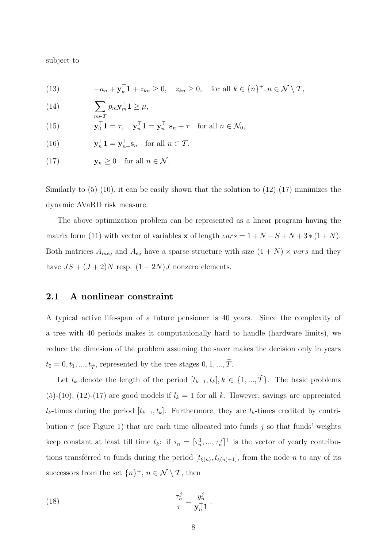subject to

(13) 
$$
-a_n + \mathbf{y}_k^{\top} \mathbf{1} + z_{kn} \geq 0, \quad z_{kn} \geq 0, \quad \text{for all } k \in \{n\}^+, n \in \mathcal{N} \setminus \mathcal{T},
$$

(14) 
$$
\sum_{m \in \mathcal{N}} p_m \mathbf{y}_m^{\top} \mathbf{1} \geq \mu,
$$

(15) 
$$
\mathbf{y}_0^{\top} \mathbf{1} = \tau, \quad \mathbf{y}_n^{\top} \mathbf{1} = \mathbf{y}_{n}^{\top} \mathbf{s}_n + \tau \quad \text{for all } n \in \mathcal{N}_0,
$$

(16) 
$$
\mathbf{y}_n^{\top} \mathbf{1} = \mathbf{y}_{n-}^{\top} \mathbf{s}_n \quad \text{for all } n \in \mathcal{T},
$$

(17) 
$$
\mathbf{y}_n \geq 0
$$
 for all  $n \in \mathcal{N}$ .

Similarly to  $(5)-(10)$ , it can be easily shown that the solution to  $(12)-(17)$  minimizes the dynamic AVaRD risk measure.

The above optimization problem can be represented as a linear program having the matrix form (11) with vector of variables **x** of length  $vars = 1 + N - S + N + 3*(1 + N)$ . Both matrices  $A_{ineq}$  and  $A_{eq}$  have a sparse structure with size  $(1 + N) \times vars$  and they have  $JS + (J + 2)N$  resp.  $(1 + 2N)J$  nonzero elements.

## 2.1 A nonlinear constraint

A typical active life-span of a future pensioner is 40 years. Since the complexity of a tree with 40 periods makes it computationally hard to handle (hardware limits), we reduce the dimesion of the problem assuming the saver makes the decision only in years  $t_0 = 0, t_1, ..., t_{\widetilde{T}},$  represented by the tree stages  $0, 1, ..., \widetilde{T}.$ 

Let  $l_k$  denote the length of the period  $[t_{k-1}, t_k], k \in \{1, ..., \tilde{T}\}$ . The basic problems (5)-(10), (12)-(17) are good models if  $l_k = 1$  for all k. However, savings are appreciated  $l_k$ -times during the period  $[t_{k-1}, t_k]$ . Furthermore, they are  $l_k$ -times credited by contribution  $\tau$  (see Figure 1) that are each time allocated into funds j so that funds' weights keep constant at least till time  $t_k$ : if  $\tau_n = [\tau_n^1, ..., \tau_n^J]^\top$  is the vector of yearly contributions transferred to funds during the period  $[t_{\xi(n)}, t_{\xi(n)+1}]$ , from the node *n* to any of its successors from the set  $\{n\}^+, n \in \mathcal{N} \setminus \mathcal{T}$ , then

(18) 
$$
\frac{\tau_n^j}{\tau} = \frac{y_n^j}{\mathbf{y}_n^{\top} \mathbf{1}}
$$

.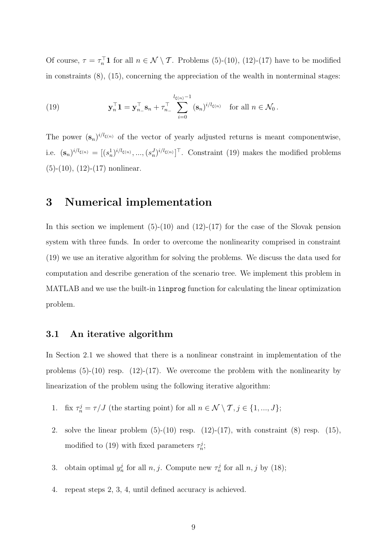Of course,  $\tau = \tau_n^{\top} \mathbf{1}$  for all  $n \in \mathcal{N} \setminus \mathcal{T}$ . Problems (5)-(10), (12)-(17) have to be modified in constraints  $(8)$ ,  $(15)$ , concerning the appreciation of the wealth in nonterminal stages:

(19) 
$$
\mathbf{y}_n^\top \mathbf{1} = \mathbf{y}_{n_-}^\top \mathbf{s}_n + \tau_{n_-}^\top \sum_{i=0}^{l_{\xi(n)}-1} (\mathbf{s}_n)^{i/l_{\xi(n)}} \text{ for all } n \in \mathcal{N}_0.
$$

The power  $({\bf s}_n)^{i/l_{\xi(n)}}$  of the vector of yearly adjusted returns is meant componentwise, i.e.  $(\mathbf{s}_n)^{i/l_{\xi(n)}} = [(s_n^1)^{i/l_{\xi(n)}}, ..., (s_n^J)^{i/l_{\xi(n)}}]^\top$ . Constraint (19) makes the modified problems  $(5)-(10)$ ,  $(12)-(17)$  nonlinear.

## 3 Numerical implementation

In this section we implement  $(5)-(10)$  and  $(12)-(17)$  for the case of the Slovak pension system with three funds. In order to overcome the nonlinearity comprised in constraint (19) we use an iterative algorithm for solving the problems. We discuss the data used for computation and describe generation of the scenario tree. We implement this problem in MATLAB and we use the built-in linprog function for calculating the linear optimization problem.

## 3.1 An iterative algorithm

In Section 2.1 we showed that there is a nonlinear constraint in implementation of the problems  $(5)-(10)$  resp.  $(12)-(17)$ . We overcome the problem with the nonlinearity by linearization of the problem using the following iterative algorithm:

- 1. fix  $\tau_n^j = \tau / J$  (the starting point) for all  $n \in \mathcal{N} \setminus \mathcal{T}, j \in \{1, ..., J\};$
- 2. solve the linear problem  $(5)-(10)$  resp.  $(12)-(17)$ , with constraint  $(8)$  resp.  $(15)$ , modified to (19) with fixed parameters  $\tau_n^j$ ;
- 3. obtain optimal  $y_n^j$  for all  $n, j$ . Compute new  $\tau_n^j$  for all  $n, j$  by (18);
- 4. repeat steps 2, 3, 4, until defined accuracy is achieved.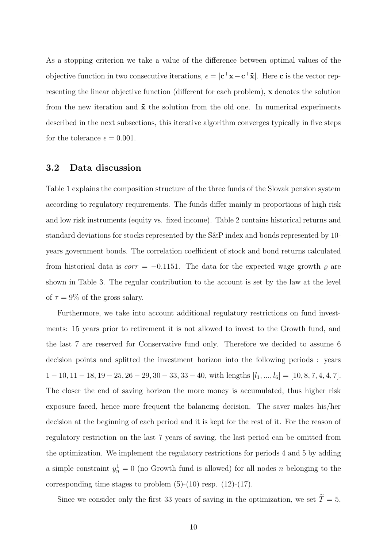As a stopping criterion we take a value of the difference between optimal values of the objective function in two consecutive iterations,  $\epsilon = |c^{\top}x - c^{\top}\tilde{x}|$ . Here c is the vector representing the linear objective function (different for each problem), x denotes the solution from the new iteration and  $\tilde{\mathbf{x}}$  the solution from the old one. In numerical experiments described in the next subsections, this iterative algorithm converges typically in five steps for the tolerance  $\epsilon = 0.001$ .

## 3.2 Data discussion

Table 1 explains the composition structure of the three funds of the Slovak pension system according to regulatory requirements. The funds differ mainly in proportions of high risk and low risk instruments (equity vs. fixed income). Table 2 contains historical returns and standard deviations for stocks represented by the S&P index and bonds represented by 10 years government bonds. The correlation coefficient of stock and bond returns calculated from historical data is  $corr = -0.1151$ . The data for the expected wage growth  $\varrho$  are shown in Table 3. The regular contribution to the account is set by the law at the level of  $\tau = 9\%$  of the gross salary.

Furthermore, we take into account additional regulatory restrictions on fund investments: 15 years prior to retirement it is not allowed to invest to the Growth fund, and the last 7 are reserved for Conservative fund only. Therefore we decided to assume 6 decision points and splitted the investment horizon into the following periods : years  $1 - 10, 11 - 18, 19 - 25, 26 - 29, 30 - 33, 33 - 40$ , with lengths  $[l_1, ..., l_6] = [10, 8, 7, 4, 4, 7]$ . The closer the end of saving horizon the more money is accumulated, thus higher risk exposure faced, hence more frequent the balancing decision. The saver makes his/her decision at the beginning of each period and it is kept for the rest of it. For the reason of regulatory restriction on the last 7 years of saving, the last period can be omitted from the optimization. We implement the regulatory restrictions for periods 4 and 5 by adding a simple constraint  $y_n^1 = 0$  (no Growth fund is allowed) for all nodes n belonging to the corresponding time stages to problem  $(5)-(10)$  resp.  $(12)-(17)$ .

Since we consider only the first 33 years of saving in the optimization, we set  $\widetilde{T}=5,$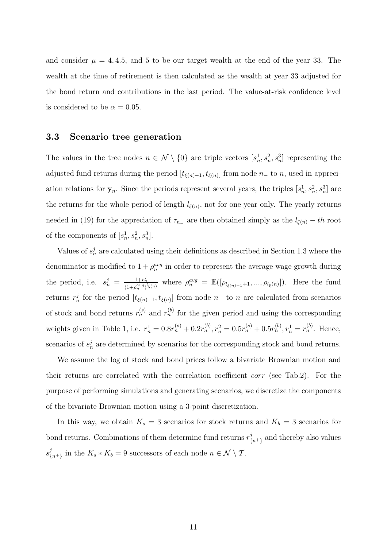and consider  $\mu = 4, 4.5,$  and 5 to be our target wealth at the end of the year 33. The wealth at the time of retirement is then calculated as the wealth at year 33 adjusted for the bond return and contributions in the last period. The value-at-risk confidence level is considered to be  $\alpha = 0.05$ .

#### 3.3 Scenario tree generation

The values in the tree nodes  $n \in \mathcal{N} \setminus \{0\}$  are triple vectors  $[s_n^1, s_n^2, s_n^3]$  representing the adjusted fund returns during the period  $[t_{\xi(n)-1}, t_{\xi(n)}]$  from node  $n_-$  to n, used in appreciation relations for  $y_n$ . Since the periods represent several years, the triples  $[s_n^1, s_n^2, s_n^3]$  are the returns for the whole period of length  $l_{\xi(n)}$ , not for one year only. The yearly returns needed in (19) for the appreciation of  $\tau_{n_{-}}$  are then obtained simply as the  $l_{\xi(n)} - th$  root of the components of  $[s_n^1, s_n^2, s_n^3]$ .

Values of  $s_n^j$  are calculated using their definitions as described in Section 1.3 where the denominator is modified to  $1 + \rho_n^{avg}$  in order to represent the average wage growth during the period, i.e.  $s_n^j = \frac{1+r_n^j}{(1+a^{avg})^j}$  $\frac{1+r_n^2}{(1+\rho_n^{avg})^l \xi(n)}$  where  $\rho_n^{avg} = \mathbb{E}([\rho_{l_{\xi(n)-1}+1},...,\rho_{l_{\xi}(n)}]).$  Here the fund returns  $r_n^j$  for the period  $[t_{\xi(n)-1}, t_{\xi(n)}]$  from node  $n_-$  to n are calculated from scenarios of stock and bond returns  $r_n^{(s)}$  and  $r_n^{(b)}$  for the given period and using the corresponding weights given in Table 1, i.e.  $r_n^1 = 0.8r_n^{(s)} + 0.2r_n^{(b)}, r_n^2 = 0.5r_n^{(s)} + 0.5r_n^{(b)}, r_n^1 = r_n^{(b)}$ . Hence, scenarios of  $s_n^j$  are determined by scenarios for the corresponding stock and bond returns.

We assume the log of stock and bond prices follow a bivariate Brownian motion and their returns are correlated with the correlation coefficient corr (see Tab.2). For the purpose of performing simulations and generating scenarios, we discretize the components of the bivariate Brownian motion using a 3-point discretization.

In this way, we obtain  $K_s = 3$  scenarios for stock returns and  $K_b = 3$  scenarios for bond returns. Combinations of them determine fund returns  $r_f^j$  $\binom{J}{n+1}$  and thereby also values  $s^j_{\ell}$  $K_{n+1}$  in the  $K_s * K_b = 9$  successors of each node  $n \in \mathcal{N} \setminus \mathcal{T}$ .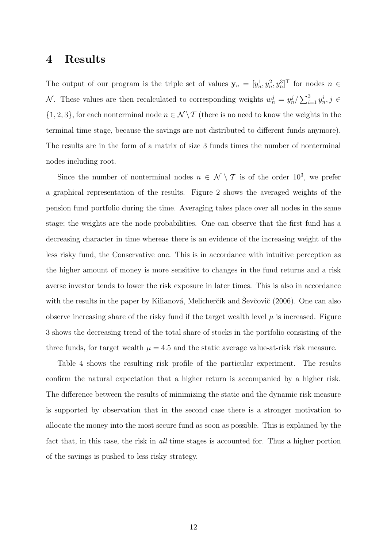## 4 Results

The output of our program is the triple set of values  $y_n = [y_n^1, y_n^2, y_n^3]^\top$  for nodes  $n \in$ N. These values are then recalculated to corresponding weights  $w_n^j = y_n^j / \sum_{i=1}^3 y_n^i$ ,  $j \in$  $\{1, 2, 3\}$ , for each nonterminal node  $n \in \mathcal{N} \backslash \mathcal{T}$  (there is no need to know the weights in the terminal time stage, because the savings are not distributed to different funds anymore). The results are in the form of a matrix of size 3 funds times the number of nonterminal nodes including root.

Since the number of nonterminal nodes  $n \in \mathcal{N} \setminus \mathcal{T}$  is of the order 10<sup>3</sup>, we prefer a graphical representation of the results. Figure 2 shows the averaged weights of the pension fund portfolio during the time. Averaging takes place over all nodes in the same stage; the weights are the node probabilities. One can observe that the first fund has a decreasing character in time whereas there is an evidence of the increasing weight of the less risky fund, the Conservative one. This is in accordance with intuitive perception as the higher amount of money is more sensitive to changes in the fund returns and a risk averse investor tends to lower the risk exposure in later times. This is also in accordance with the results in the paper by Kilianová, Melicherčík and Ševčovič (2006). One can also observe increasing share of the risky fund if the target wealth level  $\mu$  is increased. Figure 3 shows the decreasing trend of the total share of stocks in the portfolio consisting of the three funds, for target wealth  $\mu = 4.5$  and the static average value-at-risk risk measure.

Table 4 shows the resulting risk profile of the particular experiment. The results confirm the natural expectation that a higher return is accompanied by a higher risk. The difference between the results of minimizing the static and the dynamic risk measure is supported by observation that in the second case there is a stronger motivation to allocate the money into the most secure fund as soon as possible. This is explained by the fact that, in this case, the risk in all time stages is accounted for. Thus a higher portion of the savings is pushed to less risky strategy.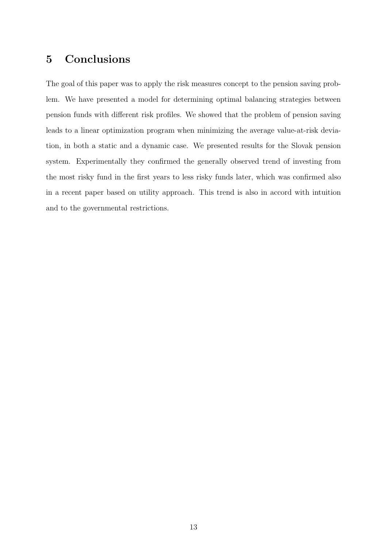# 5 Conclusions

The goal of this paper was to apply the risk measures concept to the pension saving problem. We have presented a model for determining optimal balancing strategies between pension funds with different risk profiles. We showed that the problem of pension saving leads to a linear optimization program when minimizing the average value-at-risk deviation, in both a static and a dynamic case. We presented results for the Slovak pension system. Experimentally they confirmed the generally observed trend of investing from the most risky fund in the first years to less risky funds later, which was confirmed also in a recent paper based on utility approach. This trend is also in accord with intuition and to the governmental restrictions.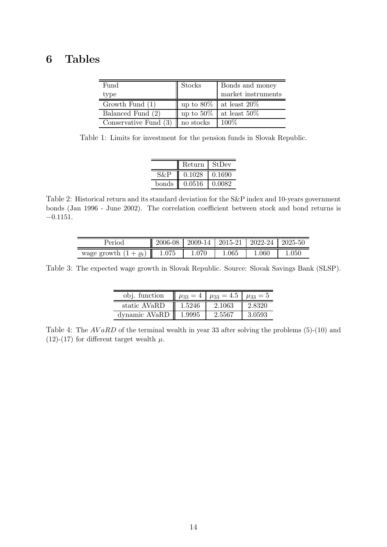# 6 Tables

| Fund                                 | Stocks       | Bonds and money              |  |  |
|--------------------------------------|--------------|------------------------------|--|--|
| type                                 |              | market instruments           |  |  |
| Growth Fund $(1)$                    |              | up to $80\%$ at least $20\%$ |  |  |
| Balanced Fund (2)                    | up to $50\%$ | at least 50\%                |  |  |
| Conservative Fund $(3)$    no stocks |              | $100\%$                      |  |  |

Table 1: Limits for investment for the pension funds in Slovak Republic.

|       | Return | - StDev |
|-------|--------|---------|
|       | 0.1028 | 0.1690  |
| bonds | 0.0516 | 0.0082  |

Table 2: Historical return and its standard deviation for the S&P index and 10-years government bonds (Jan 1996 - June 2002). The correlation coefficient between stock and bond returns is −0.1151.

| Period                     | 2006-08 | $2009-14$   $2015-21$ |       | $\mid$ 2022-24 | 2025-50 |
|----------------------------|---------|-----------------------|-------|----------------|---------|
| wage growth $(1 + \rho_t)$ | 1.075   | 1.070                 | 1.065 | 1.060          | .050    |

Table 3: The expected wage growth in Slovak Republic. Source: Slovak Savings Bank (SLSP).

| obj. function |        | $\mu_{33} = 4$ $\mu_{33} = 4.5$ $\mu_{33} = 5$ |        |
|---------------|--------|------------------------------------------------|--------|
| static AVaRD  | 1.5246 | 2.1063                                         | 2.8320 |
| dynamic AVaRD | 1.9995 | 2.5567                                         | 3 0593 |

Table 4: The  $AVaRD$  of the terminal wealth in year 33 after solving the problems (5)-(10) and (12)-(17) for different target wealth  $\mu$ .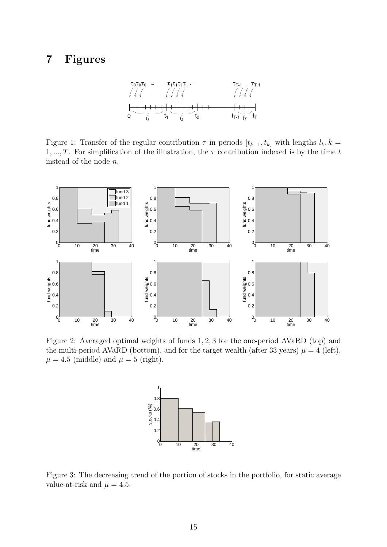# 7 Figures

Figure 1: Transfer of the regular contribution  $\tau$  in periods  $[t_{k-1}, t_k]$  with lengths  $l_k, k =$ 1, ..., T. For simplification of the illustration, the  $\tau$  contribution indexed is by the time t instead of the node n.



Figure 2: Averaged optimal weights of funds 1, 2, 3 for the one-period AVaRD (top) and the multi-period AVaRD (bottom), and for the target wealth (after 33 years)  $\mu = 4$  (left),  $\mu = 4.5$  (middle) and  $\mu = 5$  (right).



Figure 3: The decreasing trend of the portion of stocks in the portfolio, for static average value-at-risk and  $\mu = 4.5$ .